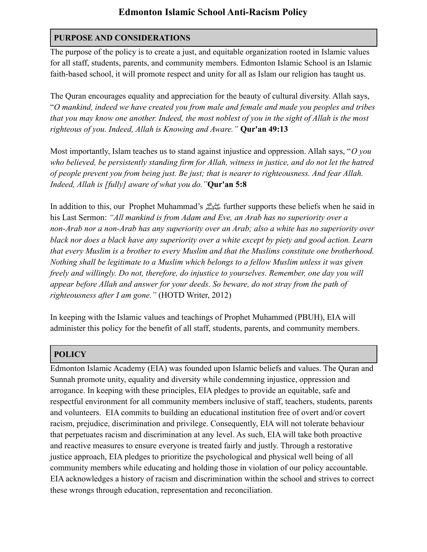## **Edmonton Islamic School Anti-Racism Policy**

### **PURPOSE AND CONSIDERATIONS**

The purpose of the policy is to create a just, and equitable organization rooted in Islamic values for all staff, students, parents, and community members. Edmonton Islamic School is an Islamic faith-based school, it will promote respect and unity for all as Islam our religion has taught us.

The Quran encourages equality and appreciation for the beauty of cultural diversity. Allah says, "*O mankind, indeed we have created you from male and female and made you peoples and tribes that you may know one another. Indeed, the most noblest of you in the sight of Allah is the most righteous of you. Indeed, Allah is Knowing and Aware."* **Qur'an 49:13**

Most importantly, Islam teaches us to stand against injustice and oppression. Allah says, "*O you who believed, be persistently standing firm for Allah, witness in justice, and do not let the hatred of people prevent you from being just. Be just; that is nearer to righteousness. And fear Allah. Indeed, Allah is [fully] aware of what you do."***Qur'an 5:8**

In addition to this, our Prophet Muhammad's صلى الله عليه وسلم further supports these beliefs when he said in his Last Sermon: *"All mankind is from Adam and Eve, an Arab has no superiority over a non-Arab nor a non-Arab has any superiority over an Arab; also a white has no superiority over black nor does a black have any superiority over a white except by piety and good action. Learn that every Muslim is a brother to every Muslim and that the Muslims constitute one brotherhood. Nothing shall be legitimate to a Muslim which belongs to a fellow Muslim unless it was given freely and willingly. Do not, therefore, do injustice to yourselves. Remember, one day you will appear before Allah and answer for your deeds. So beware, do not stray from the path of righteousness after I am gone."* (HOTD Writer, 2012)

In keeping with the Islamic values and teachings of Prophet Muhammed (PBUH), EIA will administer this policy for the benefit of all staff, students, parents, and community members.

## **POLICY**

Edmonton Islamic Academy (EIA) was founded upon Islamic beliefs and values. The Quran and Sunnah promote unity, equality and diversity while condemning injustice, oppression and arrogance. In keeping with these principles, EIA pledges to provide an equitable, safe and respectful environment for all community members inclusive of staff, teachers, students, parents and volunteers. EIA commits to building an educational institution free of overt and/or covert racism, prejudice, discrimination and privilege. Consequently, EIA will not tolerate behaviour that perpetuates racism and discrimination at any level. As such, EIA will take both proactive and reactive measures to ensure everyone is treated fairly and justly. Through a restorative justice approach, EIA pledges to prioritize the psychological and physical well being of all community members while educating and holding those in violation of our policy accountable. EIA acknowledges a history of racism and discrimination within the school and strives to correct these wrongs through education, representation and reconciliation.